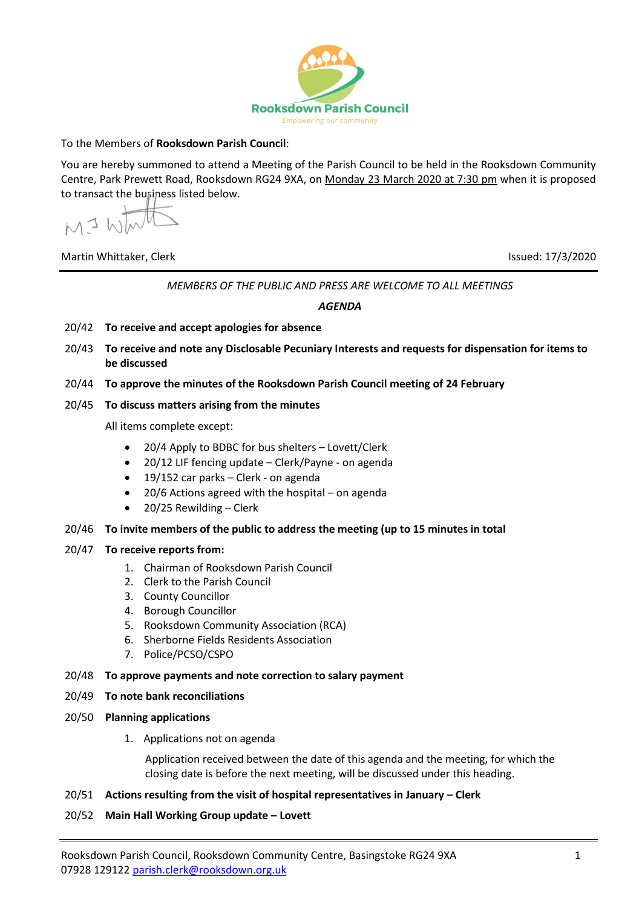

## To the Members of **Rooksdown Parish Council**:

You are hereby summoned to attend a Meeting of the Parish Council to be held in the Rooksdown Community Centre, Park Prewett Road, Rooksdown RG24 9XA, on Monday 23 March 2020 at 7:30 pm when it is proposed to transact the business listed below.

MI WI

Martin Whittaker, Clerk Issued: 17/3/2020

*MEMBERS OF THE PUBLIC AND PRESS ARE WELCOME TO ALL MEETINGS*

*AGENDA*

- 20/42 **To receive and accept apologies for absence**
- 20/43 **To receive and note any Disclosable Pecuniary Interests and requests for dispensation for items to be discussed**
- 20/44 **To approve the minutes of the Rooksdown Parish Council meeting of 24 February**
- 20/45 **To discuss matters arising from the minutes**

All items complete except:

- 20/4 Apply to BDBC for bus shelters Lovett/Clerk
- 20/12 LIF fencing update Clerk/Payne on agenda
- 19/152 car parks Clerk on agenda
- 20/6 Actions agreed with the hospital on agenda
- 20/25 Rewilding Clerk

#### 20/46 **To invite members of the public to address the meeting (up to 15 minutes in total**

#### 20/47 **To receive reports from:**

- 1. Chairman of Rooksdown Parish Council
- 2. Clerk to the Parish Council
- 3. County Councillor
- 4. Borough Councillor
- 5. Rooksdown Community Association (RCA)
- 6. Sherborne Fields Residents Association
- 7. Police/PCSO/CSPO

### 20/48 **To approve payments and note correction to salary payment**

### 20/49 **To note bank reconciliations**

- 20/50 **Planning applications**
	- 1. Applications not on agenda

Application received between the date of this agenda and the meeting, for which the closing date is before the next meeting, will be discussed under this heading.

### 20/51 **Actions resulting from the visit of hospital representatives in January – Clerk**

20/52 **Main Hall Working Group update – Lovett**